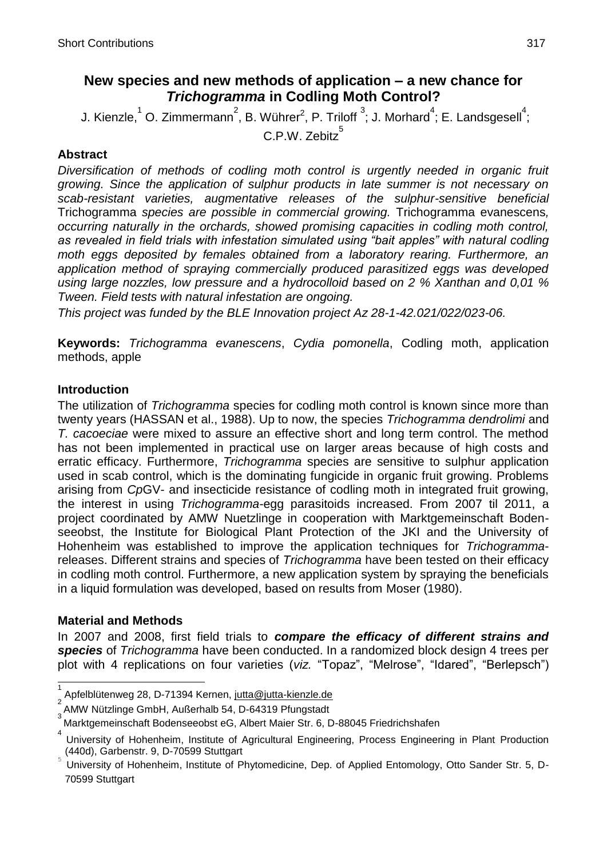# **New species and new methods of application – a new chance for**  *Trichogramma* **in Codling Moth Control?**

J. Kienzle,  $^1$  O. Zimmermann $^2$ , B. Wührer $^2$ , P. Triloff  $^3$ ; J. Morhard $^4$ ; E. Landsgesell $^4$ ;

C.P.W. Zebitz<sup>5</sup>

# **Abstract**

*Diversification of methods of codling moth control is urgently needed in organic fruit growing. Since the application of sulphur products in late summer is not necessary on scab-resistant varieties, augmentative releases of the sulphur-sensitive beneficial* Trichogramma *species are possible in commercial growing.* Trichogramma evanescens*, occurring naturally in the orchards, showed promising capacities in codling moth control, as revealed in field trials with infestation simulated using "bait apples" with natural codling moth eggs deposited by females obtained from a laboratory rearing. Furthermore, an application method of spraying commercially produced parasitized eggs was developed using large nozzles, low pressure and a hydrocolloid based on 2 % Xanthan and 0,01 % Tween. Field tests with natural infestation are ongoing.*

*This project was funded by the BLE Innovation project Az 28-1-42.021/022/023-06.*

**Keywords:** *Trichogramma evanescens*, *Cydia pomonella*, Codling moth, application methods, apple

### **Introduction**

The utilization of *Trichogramma* species for codling moth control is known since more than twenty years (HASSAN et al., 1988). Up to now, the species *Trichogramma dendrolimi* and *T. cacoeciae* were mixed to assure an effective short and long term control. The method has not been implemented in practical use on larger areas because of high costs and erratic efficacy. Furthermore, *Trichogramma* species are sensitive to sulphur application used in scab control, which is the dominating fungicide in organic fruit growing. Problems arising from *Cp*GV- and insecticide resistance of codling moth in integrated fruit growing, the interest in using *Trichogramma-*egg parasitoids increased. From 2007 til 2011, a project coordinated by AMW Nuetzlinge in cooperation with Marktgemeinschaft Bodenseeobst, the Institute for Biological Plant Protection of the JKI and the University of Hohenheim was established to improve the application techniques for *Trichogramma*releases. Different strains and species of *Trichogramma* have been tested on their efficacy in codling moth control. Furthermore, a new application system by spraying the beneficials in a liquid formulation was developed, based on results from Moser (1980).

### **Material and Methods**

 $\overline{a}$ 

In 2007 and 2008, first field trials to *compare the efficacy of different strains and species* of *Trichogramma* have been conducted. In a randomized block design 4 trees per plot with 4 replications on four varieties (*viz.* "Topaz", "Melrose", "Idared", "Berlepsch")

<sup>1</sup> Apfelblütenweg 28, D-71394 Kernen, [jutta@jutta-kienzle.de](mailto:jutta@jutta-kienzle.de)

<sup>2</sup>  AMW Nützlinge GmbH, Außerhalb 54, D-64319 Pfungstadt 3

Marktgemeinschaft Bodenseeobst eG, Albert Maier Str. 6, D-88045 Friedrichshafen

<sup>4</sup> University of Hohenheim, Institute of Agricultural Engineering, Process Engineering in Plant Production (440d), Garbenstr. 9, D-70599 Stuttgart

University of Hohenheim, Institute of Phytomedicine, Dep. of Applied Entomology, Otto Sander Str. 5, D-70599 Stuttgart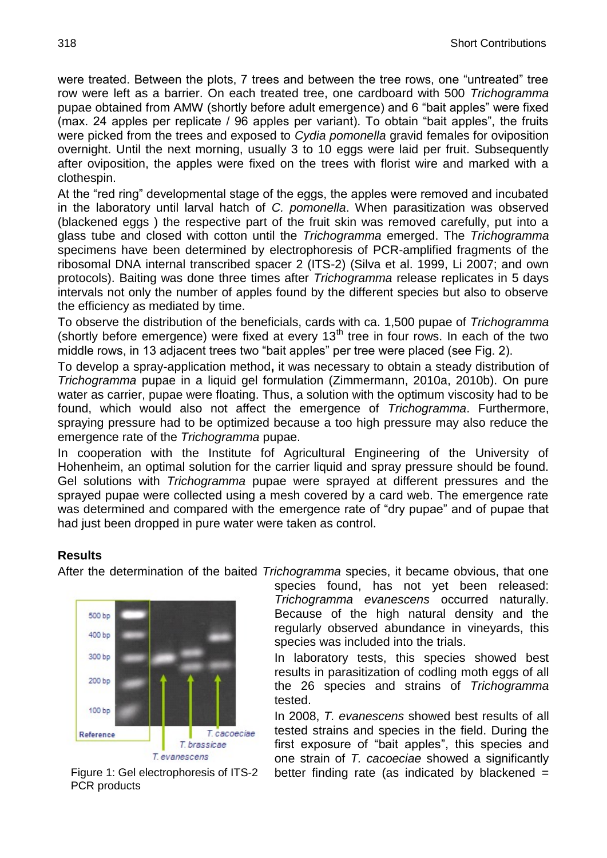were treated. Between the plots, 7 trees and between the tree rows, one "untreated" tree row were left as a barrier. On each treated tree, one cardboard with 500 *Trichogramma* pupae obtained from AMW (shortly before adult emergence) and 6 "bait apples" were fixed (max. 24 apples per replicate  $/$  96 apples per variant). To obtain "bait apples", the fruits were picked from the trees and exposed to *Cydia pomonella* gravid females for oviposition overnight. Until the next morning, usually 3 to 10 eggs were laid per fruit. Subsequently after oviposition, the apples were fixed on the trees with florist wire and marked with a clothespin.

At the "red ring" developmental stage of the eggs, the apples were removed and incubated in the laboratory until larval hatch of *C. pomonella*. When parasitization was observed (blackened eggs ) the respective part of the fruit skin was removed carefully, put into a glass tube and closed with cotton until the *Trichogramma* emerged. The *Trichogramma* specimens have been determined by electrophoresis of PCR-amplified fragments of the ribosomal DNA internal transcribed spacer 2 (ITS-2) (Silva et al. 1999, Li 2007; and own protocols). Baiting was done three times after *Trichogramma* release replicates in 5 days intervals not only the number of apples found by the different species but also to observe the efficiency as mediated by time.

To observe the distribution of the beneficials, cards with ca. 1,500 pupae of *Trichogramma* (shortly before emergence) were fixed at every  $13<sup>th</sup>$  tree in four rows. In each of the two middle rows, in 13 adjacent trees two "bait apples" per tree were placed (see Fig. 2).

To develop a spray-application method**,** it was necessary to obtain a steady distribution of *Trichogramma* pupae in a liquid gel formulation (Zimmermann, 2010a, 2010b). On pure water as carrier, pupae were floating. Thus, a solution with the optimum viscosity had to be found, which would also not affect the emergence of *Trichogramma*. Furthermore, spraying pressure had to be optimized because a too high pressure may also reduce the emergence rate of the *Trichogramma* pupae.

In cooperation with the Institute fof Agricultural Engineering of the University of Hohenheim, an optimal solution for the carrier liquid and spray pressure should be found. Gel solutions with *Trichogramma* pupae were sprayed at different pressures and the sprayed pupae were collected using a mesh covered by a card web. The emergence rate was determined and compared with the emergence rate of "dry pupae" and of pupae that had just been dropped in pure water were taken as control.

### **Results**

After the determination of the baited *Trichogramma* species, it became obvious, that one



Figure 1: Gel electrophoresis of ITS-2 PCR products

species found, has not yet been released: *Trichogramma evanescens* occurred naturally. Because of the high natural density and the regularly observed abundance in vineyards, this species was included into the trials.

In laboratory tests, this species showed best results in parasitization of codling moth eggs of all the 26 species and strains of *Trichogramma* tested.

In 2008, *T. evanescens* showed best results of all tested strains and species in the field. During the first exposure of "bait apples", this species and one strain of *T. cacoeciae* showed a significantly better finding rate (as indicated by blackened  $=$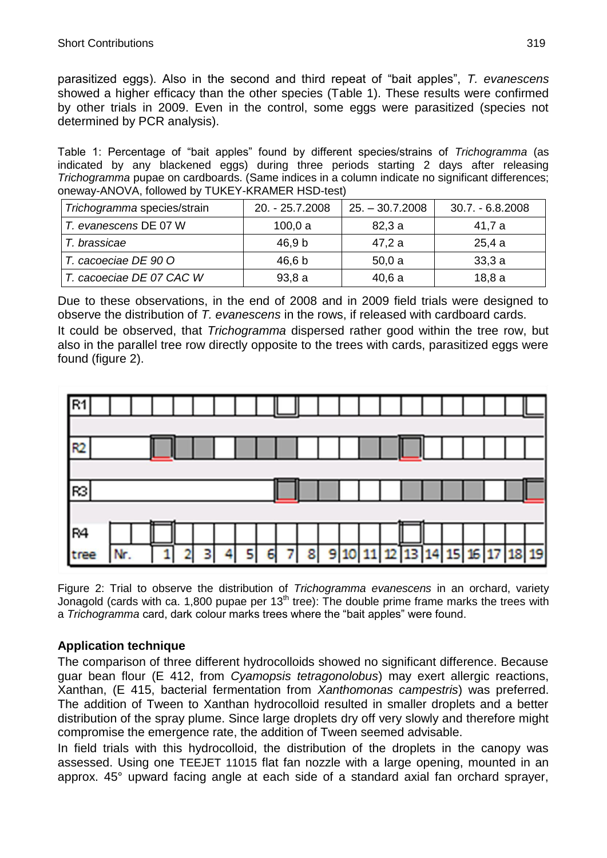parasitized eggs). Also in the second and third repeat of "bait apples", T. *evanescens* showed a higher efficacy than the other species (Table 1). These results were confirmed by other trials in 2009. Even in the control, some eggs were parasitized (species not determined by PCR analysis).

Table 1: Percentage of "bait apples" found by different species/strains of *Trichogramma* (as indicated by any blackened eggs) during three periods starting 2 days after releasing *Trichogramma* pupae on cardboards. (Same indices in a column indicate no significant differences; oneway-ANOVA, followed by TUKEY-KRAMER HSD-test)

| Trichogramma species/strain | 20. - 25.7.2008 | $25. - 30.7.2008$ | $30.7 - 6.8.2008$ |
|-----------------------------|-----------------|-------------------|-------------------|
| T. evanescens DE 07 W       | 100,0a          | 82,3a             | 41,7 a            |
| T. brassicae                | 46.9 b          | 47,2 a            | 25,4a             |
| T. cacoeciae DE 90 O        | 46,6 b          | 50,0a             | 33,3a             |
| T. cacoeciae DE 07 CAC W    | 93,8a           | 40,6a             | 18,8a             |

Due to these observations, in the end of 2008 and in 2009 field trials were designed to observe the distribution of *T. evanescens* in the rows, if released with cardboard cards.

It could be observed, that *Trichogramma* dispersed rather good within the tree row, but also in the parallel tree row directly opposite to the trees with cards, parasitized eggs were found (figure 2).



Figure 2: Trial to observe the distribution of *Trichogramma evanescens* in an orchard, variety Jonagold (cards with ca. 1,800 pupae per  $13<sup>th</sup>$  tree): The double prime frame marks the trees with a *Trichogramma* card, dark colour marks trees where the "bait apples" were found.

### **Application technique**

The comparison of three different hydrocolloids showed no significant difference. Because guar bean flour (E 412, from *Cyamopsis tetragonolobus*) may exert allergic reactions, Xanthan, (E 415, bacterial fermentation from *Xanthomonas campestris*) was preferred. The addition of Tween to Xanthan hydrocolloid resulted in smaller droplets and a better distribution of the spray plume. Since large droplets dry off very slowly and therefore might compromise the emergence rate, the addition of Tween seemed advisable.

In field trials with this hydrocolloid, the distribution of the droplets in the canopy was assessed. Using one TEEJET 11015 flat fan nozzle with a large opening, mounted in an approx. 45° upward facing angle at each side of a standard axial fan orchard sprayer,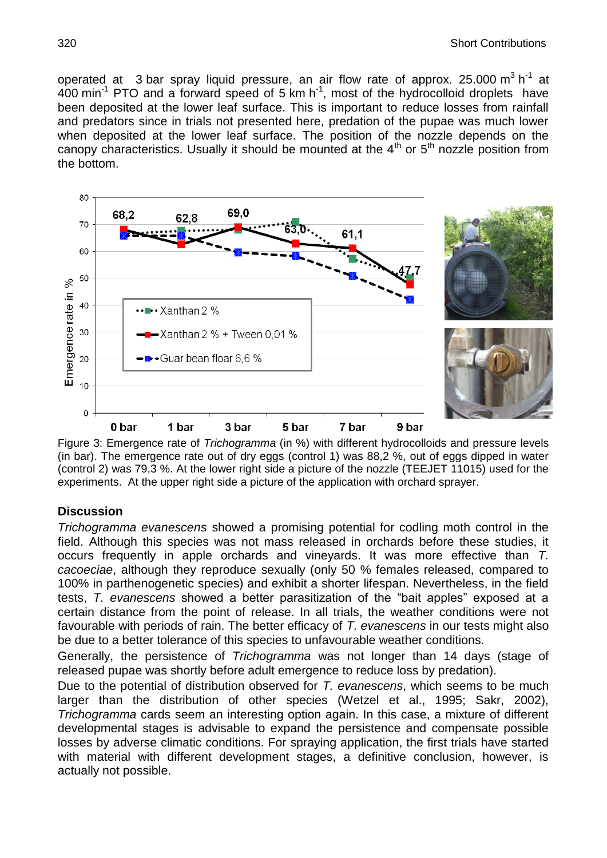operated at 3 bar spray liquid pressure, an air flow rate of approx. 25.000  $m^3$  h<sup>-1</sup> at  $400$  min<sup>-1</sup> PTO and a forward speed of 5 km h<sup>-1</sup>, most of the hydrocolloid droplets have been deposited at the lower leaf surface. This is important to reduce losses from rainfall and predators since in trials not presented here, predation of the pupae was much lower when deposited at the lower leaf surface. The position of the nozzle depends on the canopy characteristics. Usually it should be mounted at the  $4<sup>th</sup>$  or  $5<sup>th</sup>$  nozzle position from the bottom.



Figure 3: Emergence rate of *Trichogramma* (in %) with different hydrocolloids and pressure levels (in bar). The emergence rate out of dry eggs (control 1) was 88,2 %, out of eggs dipped in water (control 2) was 79,3 %. At the lower right side a picture of the nozzle (TEEJET 11015) used for the experiments. At the upper right side a picture of the application with orchard sprayer.

### **Discussion**

*Trichogramma evanescens* showed a promising potential for codling moth control in the field. Although this species was not mass released in orchards before these studies, it occurs frequently in apple orchards and vineyards. It was more effective than *T. cacoeciae*, although they reproduce sexually (only 50 % females released, compared to 100% in parthenogenetic species) and exhibit a shorter lifespan. Nevertheless, in the field tests, *T. evanescens* showed a better parasitization of the "bait apples" exposed at a certain distance from the point of release. In all trials, the weather conditions were not favourable with periods of rain. The better efficacy of *T. evanescens* in our tests might also be due to a better tolerance of this species to unfavourable weather conditions.

Generally, the persistence of *Trichogramma* was not longer than 14 days (stage of released pupae was shortly before adult emergence to reduce loss by predation).

Due to the potential of distribution observed for *T. evanescens*, which seems to be much larger than the distribution of other species (Wetzel et al., 1995; Sakr, 2002), *Trichogramma* cards seem an interesting option again. In this case, a mixture of different developmental stages is advisable to expand the persistence and compensate possible losses by adverse climatic conditions. For spraying application, the first trials have started with material with different development stages, a definitive conclusion, however, is actually not possible.